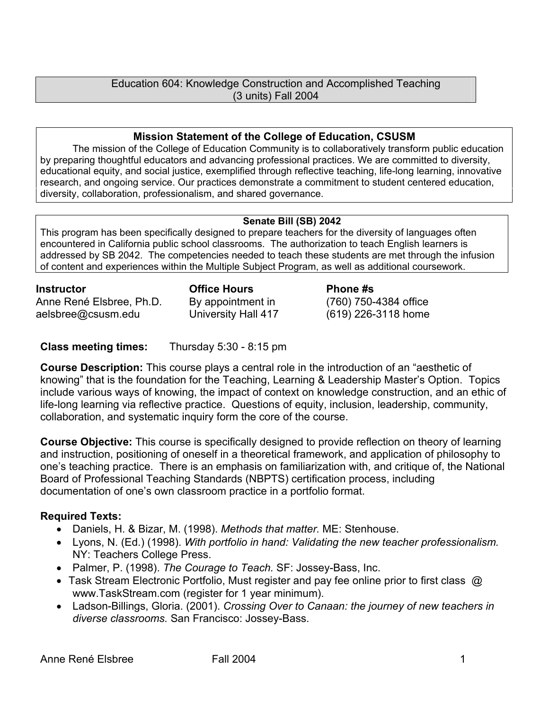## Education 604: Knowledge Construction and Accomplished Teaching (3 units) Fall 2004

## **Mission Statement of the College of Education, CSUSM**

The mission of the College of Education Community is to collaboratively transform public education by preparing thoughtful educators and advancing professional practices. We are committed to diversity, educational equity, and social justice, exemplified through reflective teaching, life-long learning, innovative research, and ongoing service. Our practices demonstrate a commitment to student centered education, diversity, collaboration, professionalism, and shared governance.

## **Senate Bill (SB) 2042**

This program has been specifically designed to prepare teachers for the diversity of languages often encountered in California public school classrooms. The authorization to teach English learners is addressed by SB 2042. The competencies needed to teach these students are met through the infusion of content and experiences within the Multiple Subject Program, as well as additional coursework.

**Instructor Office Hours Phone #s**  Anne René Elsbree, Ph.D. aelsbree@csusm.edu

By appointment in University Hall 417 (760) 750-4384 office

(619) 226-3118 home

**Class meeting times:** Thursday 5:30 - 8:15 pm

**Course Description:** This course plays a central role in the introduction of an "aesthetic of knowing" that is the foundation for the Teaching, Learning & Leadership Master's Option. Topics include various ways of knowing, the impact of context on knowledge construction, and an ethic of life-long learning via reflective practice. Questions of equity, inclusion, leadership, community, collaboration, and systematic inquiry form the core of the course.

**Course Objective:** This course is specifically designed to provide reflection on theory of learning and instruction, positioning of oneself in a theoretical framework, and application of philosophy to one's teaching practice. There is an emphasis on familiarization with, and critique of, the National Board of Professional Teaching Standards (NBPTS) certification process, including documentation of one's own classroom practice in a portfolio format.

# **Required Texts:**

- Daniels, H. & Bizar, M. (1998). *Methods that matter.* ME: Stenhouse.
- Lyons, N. (Ed.) (1998). *With portfolio in hand: Validating the new teacher professionalism.* NY: Teachers College Press.
- Palmer, P. (1998). *The Courage to Teach.* SF: Jossey-Bass, Inc.
- Task Stream Electronic Portfolio, Must register and pay fee online prior to first class @ www.TaskStream.com (register for 1 year minimum).
- Ladson-Billings, Gloria. (2001). *Crossing Over to Canaan: the journey of new teachers in diverse classrooms.* San Francisco: Jossey-Bass.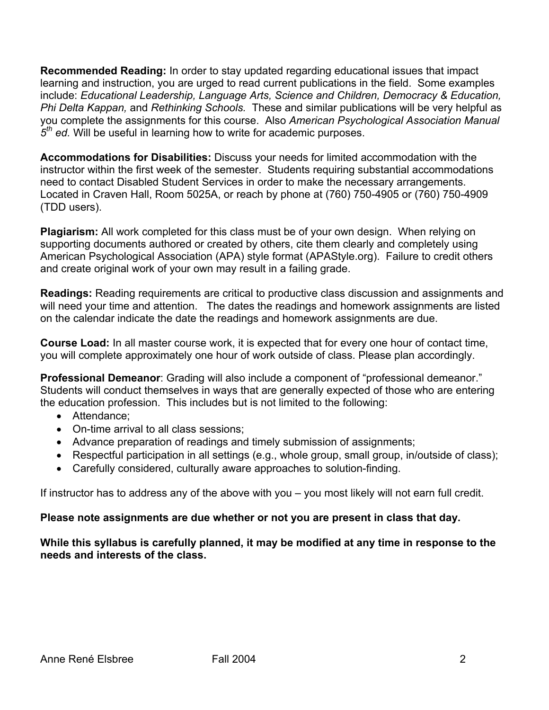**Recommended Reading:** In order to stay updated regarding educational issues that impact learning and instruction, you are urged to read current publications in the field. Some examples include: *Educational Leadership, Language Arts, Science and Children, Democracy & Education, Phi Delta Kappan,* and *Rethinking Schools.* These and similar publications will be very helpful as you complete the assignments for this course. Also *American Psychological Association Manual 5th ed.* Will be useful in learning how to write for academic purposes.

**Accommodations for Disabilities:** Discuss your needs for limited accommodation with the instructor within the first week of the semester. Students requiring substantial accommodations need to contact Disabled Student Services in order to make the necessary arrangements. Located in Craven Hall, Room 5025A, or reach by phone at (760) 750-4905 or (760) 750-4909 (TDD users).

**Plagiarism:** All work completed for this class must be of your own design. When relying on supporting documents authored or created by others, cite them clearly and completely using American Psychological Association (APA) style format (APAStyle.org). Failure to credit others and create original work of your own may result in a failing grade.

**Readings:** Reading requirements are critical to productive class discussion and assignments and will need your time and attention. The dates the readings and homework assignments are listed on the calendar indicate the date the readings and homework assignments are due.

**Course Load:** In all master course work, it is expected that for every one hour of contact time, you will complete approximately one hour of work outside of class. Please plan accordingly.

**Professional Demeanor**: Grading will also include a component of "professional demeanor." Students will conduct themselves in ways that are generally expected of those who are entering the education profession. This includes but is not limited to the following:

- Attendance;
- On-time arrival to all class sessions;
- Advance preparation of readings and timely submission of assignments;
- Respectful participation in all settings (e.g., whole group, small group, in/outside of class);
- Carefully considered, culturally aware approaches to solution-finding.

If instructor has to address any of the above with you – you most likely will not earn full credit.

# **Please note assignments are due whether or not you are present in class that day.**

## **While this syllabus is carefully planned, it may be modified at any time in response to the needs and interests of the class.**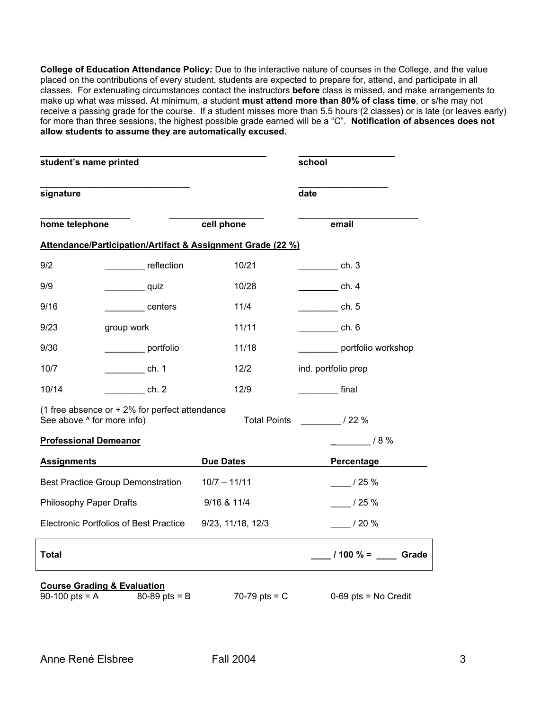**College of Education Attendance Policy:** Due to the interactive nature of courses in the College, and the value placed on the contributions of every student, students are expected to prepare for, attend, and participate in all classes. For extenuating circumstances contact the instructors **before** class is missed, and make arrangements to make up what was missed. At minimum, a student **must attend more than 80% of class time**, or s/he may not receive a passing grade for the course. If a student misses more than 5.5 hours (2 classes) or is late (or leaves early) for more than three sessions, the highest possible grade earned will be a "C". **Notification of absences does not allow students to assume they are automatically excused.** 

| student's name printed                                                                             |                                               |                                                             | school                                  |
|----------------------------------------------------------------------------------------------------|-----------------------------------------------|-------------------------------------------------------------|-----------------------------------------|
| signature                                                                                          |                                               |                                                             | date                                    |
| home telephone                                                                                     |                                               | cell phone                                                  | email                                   |
|                                                                                                    |                                               | Attendance/Participation/Artifact & Assignment Grade (22 %) |                                         |
| 9/2                                                                                                | reflection                                    | 10/21                                                       | __________ ch. 3                        |
| 9/9                                                                                                | quiz                                          | 10/28                                                       | $\sqrt{1 - 4}$ ch. 4                    |
| 9/16                                                                                               | centers                                       | 11/4                                                        | $\frac{1}{\sqrt{1-\frac{1}{2}}}\cosh 5$ |
| 9/23                                                                                               | group work                                    | 11/11                                                       | ch. 6                                   |
| 9/30                                                                                               | portfolio                                     | 11/18                                                       | portfolio workshop                      |
| 10/7                                                                                               | __________ ch. 1                              | 12/2                                                        | ind. portfolio prep                     |
| 10/14                                                                                              | ch. 2                                         | 12/9                                                        | <b>Final</b>                            |
| (1 free absence or $+2\%$ for perfect attendance<br>See above ^ for more info)                     |                                               |                                                             | Total Points ________________/ 22 %     |
| <b>Professional Demeanor</b>                                                                       |                                               |                                                             | $- 18\%$                                |
| <b>Assignments</b>                                                                                 |                                               | <b>Due Dates</b>                                            | Percentage                              |
|                                                                                                    | <b>Best Practice Group Demonstration</b>      | $10/7 - 11/11$                                              | /25%                                    |
| <b>Philosophy Paper Drafts</b>                                                                     |                                               | 9/16 & 11/4                                                 | /25%                                    |
|                                                                                                    | <b>Electronic Portfolios of Best Practice</b> | 9/23, 11/18, 12/3                                           | /20%                                    |
| <b>Total</b>                                                                                       |                                               |                                                             | $100\% =$ Grade                         |
| <b>Course Grading &amp; Evaluation</b><br>90-100 pts = $A$<br>$80 - 89$ pts = B<br>$70-79$ pts = C |                                               |                                                             | $0-69$ pts = No Credit                  |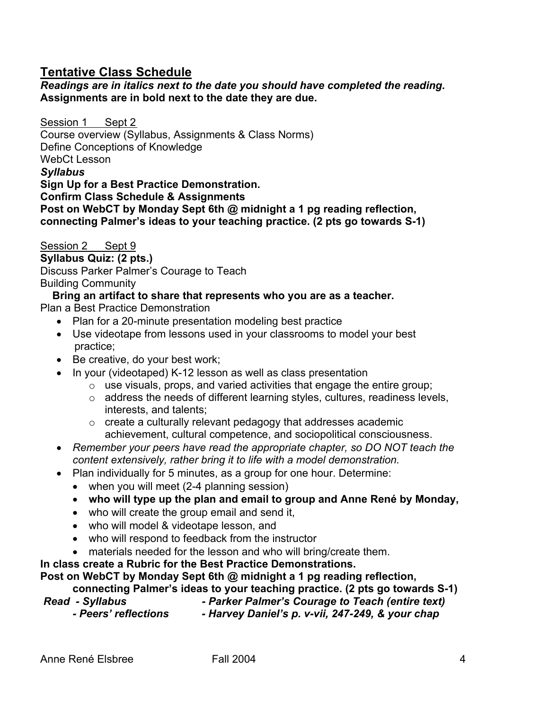# **Tentative Class Schedule**

*Readings are in italics next to the date you should have completed the reading.*  **Assignments are in bold next to the date they are due.**

Session 1 Sept 2 Course overview (Syllabus, Assignments & Class Norms) Define Conceptions of Knowledge WebCt Lesson *Syllabus*  **Sign Up for a Best Practice Demonstration. Confirm Class Schedule & Assignments Post on WebCT by Monday Sept 6th @ midnight a 1 pg reading reflection, connecting Palmer's ideas to your teaching practice. (2 pts go towards S-1)**

Session 2 Sept 9 **Syllabus Quiz: (2 pts.)** Discuss Parker Palmer's Courage to Teach Building Community

## **Bring an artifact to share that represents who you are as a teacher.**

Plan a Best Practice Demonstration

- Plan for a 20-minute presentation modeling best practice
- Use videotape from lessons used in your classrooms to model your best practice;
- Be creative, do your best work;
- In your (videotaped) K-12 lesson as well as class presentation
	- o use visuals, props, and varied activities that engage the entire group;
	- o address the needs of different learning styles, cultures, readiness levels, interests, and talents;
	- o create a culturally relevant pedagogy that addresses academic achievement, cultural competence, and sociopolitical consciousness.
- *Remember your peers have read the appropriate chapter, so DO NOT teach the content extensively, rather bring it to life with a model demonstration.*
- Plan individually for 5 minutes, as a group for one hour. Determine:
	- when you will meet (2-4 planning session)
	- **who will type up the plan and email to group and Anne René by Monday,**
	- who will create the group email and send it,
	- who will model & videotape lesson, and
	- who will respond to feedback from the instructor
	- materials needed for the lesson and who will bring/create them.

**In class create a Rubric for the Best Practice Demonstrations.** 

**Post on WebCT by Monday Sept 6th @ midnight a 1 pg reading reflection,** 

**connecting Palmer's ideas to your teaching practice. (2 pts go towards S-1)** 

- 
- *Read Syllabus Parker Palmer's Courage to Teach (entire text)*  - Harvey Daniel's p. v-vii, 247-249, & your chap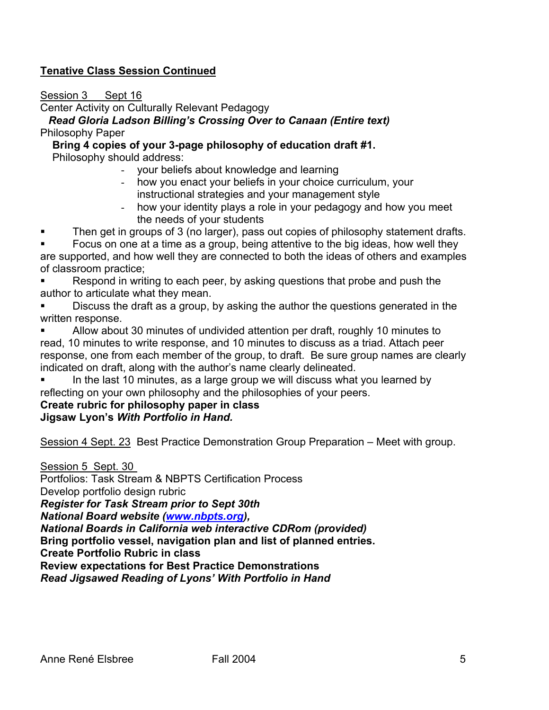# **Tenative Class Session Continued**

Session 3 Sept 16

Center Activity on Culturally Relevant Pedagogy

*Read Gloria Ladson Billing's Crossing Over to Canaan (Entire text)*  Philosophy Paper

## **Bring 4 copies of your 3-page philosophy of education draft #1. Philosophy should address:**

- your beliefs about knowledge and learning
- how you enact your beliefs in your choice curriculum, your instructional strategies and your management style
- how your identity plays a role in your pedagogy and how you meet the needs of your students
- Then get in groups of 3 (no larger), pass out copies of philosophy statement drafts.

 Focus on one at a time as a group, being attentive to the big ideas, how well they are supported, and how well they are connected to both the ideas of others and examples of classroom practice;

 Respond in writing to each peer, by asking questions that probe and push the author to articulate what they mean.

 Discuss the draft as a group, by asking the author the questions generated in the written response.

 Allow about 30 minutes of undivided attention per draft, roughly 10 minutes to read, 10 minutes to write response, and 10 minutes to discuss as a triad. Attach peer response, one from each member of the group, to draft. Be sure group names are clearly indicated on draft, along with the author's name clearly delineated.

 In the last 10 minutes, as a large group we will discuss what you learned by reflecting on your own philosophy and the philosophies of your peers.

#### **Create rubric for philosophy paper in class Jigsaw Lyon's** *With Portfolio in Hand.*

Session 4 Sept. 23 Best Practice Demonstration Group Preparation – Meet with group.

Session 5 Sept. 30

Portfolios: Task Stream & NBPTS Certification Process

Develop portfolio design rubric

*Register for Task Stream prior to Sept 30th* 

*National Board website (www.nbpts.org),* 

*National Boards in California web interactive CDRom (provided)* 

**Bring portfolio vessel, navigation plan and list of planned entries.** 

**Create Portfolio Rubric in class** 

**Review expectations for Best Practice Demonstrations** 

*Read Jigsawed Reading of Lyons' With Portfolio in Hand*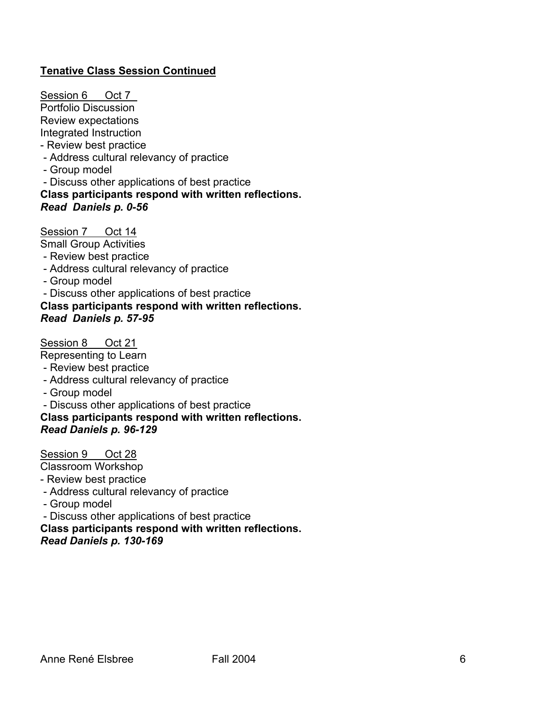# **Tenative Class Session Continued**

Session 6 Oct 7 Portfolio Discussion Review expectations Integrated Instruction - Review best practice - Address cultural relevancy of practice - Group model - Discuss other applications of best practice

**Class participants respond with written reflections.** *Read Daniels p. 0-56* 

Session 7 Oct 14

Small Group Activities

- Review best practice
- Address cultural relevancy of practice
- Group model

- Discuss other applications of best practice

#### **Class participants respond with written reflections.** *Read Daniels p. 57-95*

Session 8 Oct 21

Representing to Learn

- Review best practice
- Address cultural relevancy of practice
- Group model
- Discuss other applications of best practice

**Class participants respond with written reflections.** *Read Daniels p. 96-129* 

Session 9 Oct 28

Classroom Workshop

- Review best practice
- Address cultural relevancy of practice
- Group model
- Discuss other applications of best practice

**Class participants respond with written reflections.**

*Read Daniels p. 130-169*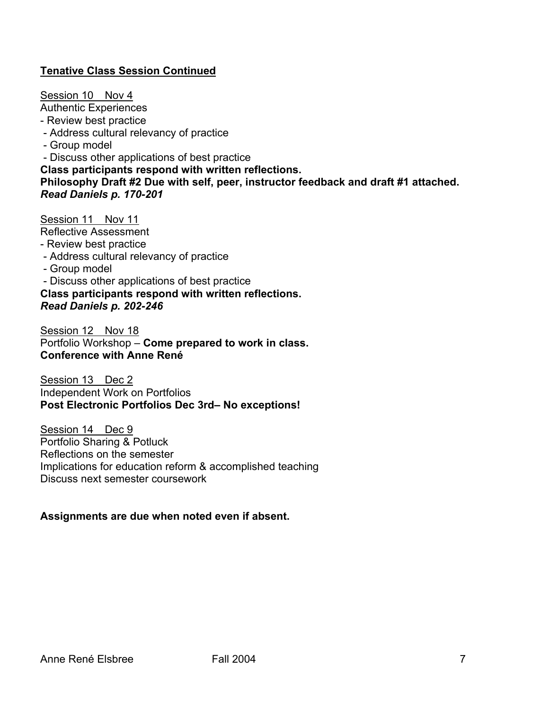# **Tenative Class Session Continued**

Session 10 Nov 4 Authentic Experiences - Review best practice - Address cultural relevancy of practice - Group model - Discuss other applications of best practice **Class participants respond with written reflections. Philosophy Draft #2 Due with self, peer, instructor feedback and draft #1 attached.** *Read Daniels p. 170-201* 

Session 11 Nov 11 Reflective Assessment - Review best practice

- Address cultural relevancy of practice
- Group model
- Discuss other applications of best practice

**Class participants respond with written reflections.**  *Read Daniels p. 202-246* 

Session 12 Nov 18 Portfolio Workshop – **Come prepared to work in class. Conference with Anne René**

Session 13 Dec 2 Independent Work on Portfolios **Post Electronic Portfolios Dec 3rd– No exceptions!** 

Session 14 Dec 9 Portfolio Sharing & Potluck Reflections on the semester Implications for education reform & accomplished teaching Discuss next semester coursework

# **Assignments are due when noted even if absent.**